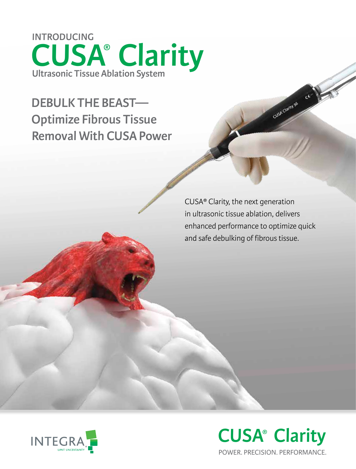**Ultrasonic Tissue Ablation System INTRODUCING CUSA® Clarity**

**DEBULK THE BEAST— Optimize Fibrous Tissue Removal With CUSA Power**

> CUSA**®** Clarity, the next generation in ultrasonic tissue ablation, delivers enhanced performance to optimize quick and safe debulking of fibrous tissue.

Cush Clarity 36



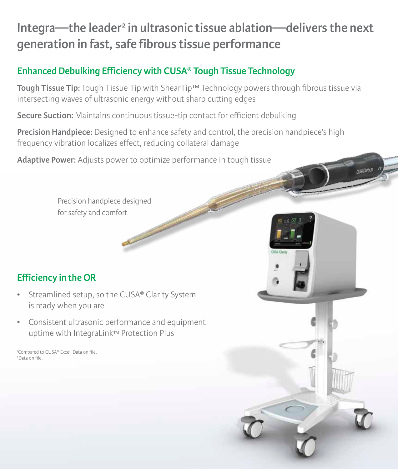# Integra—the leader<sup>2</sup> in ultrasonic tissue ablation—delivers the next **generation in fast, safe fibrous tissue performance**

## **Enhanced Debulking Efficiency with CUSA® Tough Tissue Technology**

**Tough Tissue Tip:** Tough Tissue Tip with ShearTip™ Technology powers through fibrous tissue via intersecting waves of ultrasonic energy without sharp cutting edges

**Secure Suction:** Maintains continuous tissue-tip contact for efficient debulking

**Precision Handpiece:** Designed to enhance safety and control, the precision handpiece's high frequency vibration localizes effect, reducing collateral damage

 $0.54$ Carby 36

**Adaptive Power:** Adjusts power to optimize performance in tough tissue

Concession of the local division in

Precision handpiece designed for safety and comfort

## **Efficiency in the OR**

- Streamlined setup, so the CUSA**®** Clarity System is ready when you are
- Consistent ultrasonic performance and equipment uptime with IntegraLink™ Protection Plus

<sup>1</sup>Compared to CUSA® Excel. Data on file. 2 Data on file.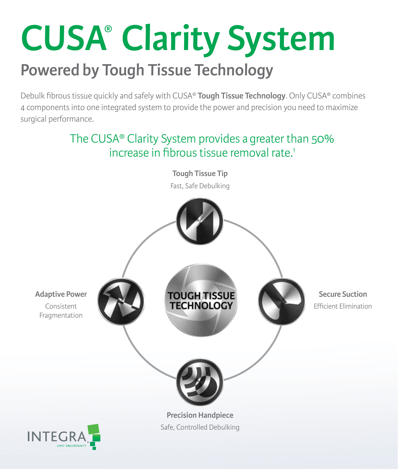# **Powered by Tough Tissue Technology CUSA® Clarity System**

Debulk fibrous tissue quickly and safely with CUSA® **Tough Tissue Technology**. Only CUSA® combines 4 components into one integrated system to provide the power and precision you need to maximize surgical performance.

# The CUSA® Clarity System provides agreater than 50% increase in fibrous tissue removal rate.<sup>1</sup>